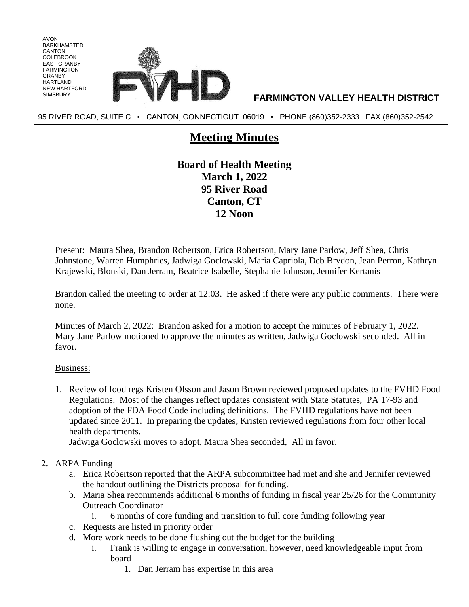

95 RIVER ROAD, SUITE C · CANTON, CONNECTICUT 06019 · PHONE (860)352-2333 FAX (860)352-2542

## **Meeting Minutes**

**Board of Health Meeting March 1, 2022 95 River Road Canton, CT 12 Noon**

Present: Maura Shea, Brandon Robertson, Erica Robertson, Mary Jane Parlow, Jeff Shea, Chris Johnstone, Warren Humphries, Jadwiga Goclowski, Maria Capriola, Deb Brydon, Jean Perron, Kathryn Krajewski, Blonski, Dan Jerram, Beatrice Isabelle, Stephanie Johnson, Jennifer Kertanis

Brandon called the meeting to order at 12:03. He asked if there were any public comments. There were none.

Minutes of March 2, 2022: Brandon asked for a motion to accept the minutes of February 1, 2022. Mary Jane Parlow motioned to approve the minutes as written, Jadwiga Goclowski seconded. All in favor.

Business:

AVON BARKHAMSTED CANTON COLEBROOK EAST GRANBY FARMINGTON GRANBY HARTI AND NEW HARTFORD

> 1. Review of food regs Kristen Olsson and Jason Brown reviewed proposed updates to the FVHD Food Regulations. Most of the changes reflect updates consistent with State Statutes, PA 17-93 and adoption of the FDA Food Code including definitions. The FVHD regulations have not been updated since 2011. In preparing the updates, Kristen reviewed regulations from four other local health departments.

Jadwiga Goclowski moves to adopt, Maura Shea seconded, All in favor.

- 2. ARPA Funding
	- a. Erica Robertson reported that the ARPA subcommittee had met and she and Jennifer reviewed the handout outlining the Districts proposal for funding.
	- b. Maria Shea recommends additional 6 months of funding in fiscal year 25/26 for the Community Outreach Coordinator
		- i. 6 months of core funding and transition to full core funding following year
	- c. Requests are listed in priority order
	- d. More work needs to be done flushing out the budget for the building
		- i. Frank is willing to engage in conversation, however, need knowledgeable input from board
			- 1. Dan Jerram has expertise in this area